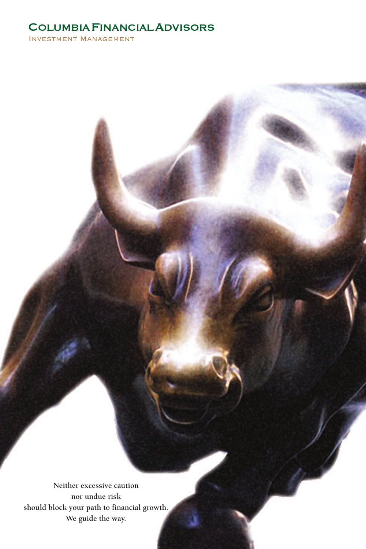# COLUMBIAFINANCIALADVISORS

Investment Management

**Neither excessive caution nor undue risk should block your path to financial growth. We guide the way.**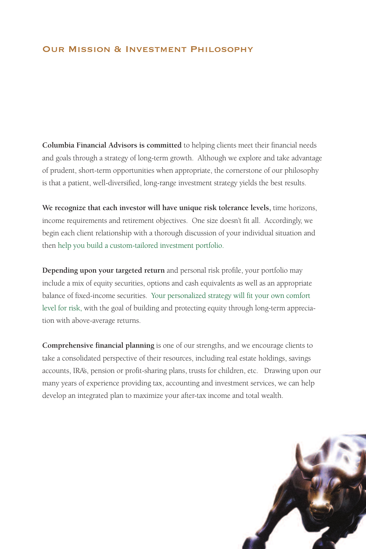### Our Mission & Investment Philosophy

**Columbia Financial Advisors is committed** to helping clients meet their financial needs and goals through a strategy of long-term growth. Although we explore and take advantage of prudent, short-term opportunities when appropriate, the cornerstone of our philosophy is that a patient, well-diversified, long-range investment strategy yields the best results.

**We recognize that each investor will have unique risk tolerance levels,** time horizons, income requirements and retirement objectives. One size doesn't fit all. Accordingly, we begin each client relationship with a thorough discussion of your individual situation and then help you build a custom-tailored investment portfolio.

**Depending upon your targeted return** and personal risk profile, your portfolio may include a mix of equity securities, options and cash equivalents as well as an appropriate balance of fixed-income securities. Your personalized strategy will fit your own comfort level for risk, with the goal of building and protecting equity through long-term appreciation with above-average returns.

**Comprehensive financial planning** is one of our strengths, and we encourage clients to take a consolidated perspective of their resources, including real estate holdings, savings accounts, IRA's, pension or profit-sharing plans, trusts for children, etc. Drawing upon our many years of experience providing tax, accounting and investment services, we can help develop an integrated plan to maximize your after-tax income and total wealth.

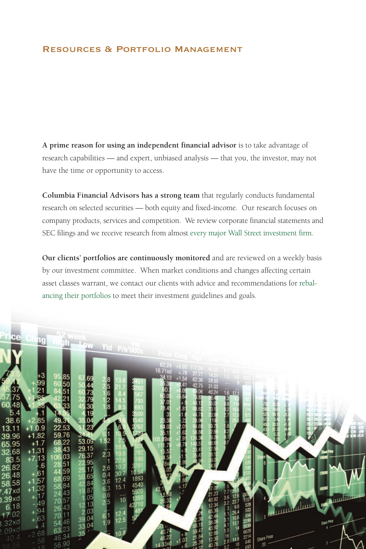#### Resources & Portfolio Management

**A prime reason for using an independent financial advisor** is to take advantage of research capabilities — and expert, unbiased analysis — that you, the investor, may not have the time or opportunity to access.

**Columbia Financial Advisors has a strong team** that regularly conducts fundamental research on selected securities — both equity and fixed-income. Our research focuses on company products, services and competition. We review corporate financial statements and SEC filings and we receive research from almost every major Wall Street investment firm.

**Our clients' portfolios are continuously monitored** and are reviewed on a weekly basis by our investment committee. When market conditions and changes affecting certain asset classes warrant, we contact our clients with advice and recommendations for rebalancing their portfolios to meet their investment guidelines and goals.

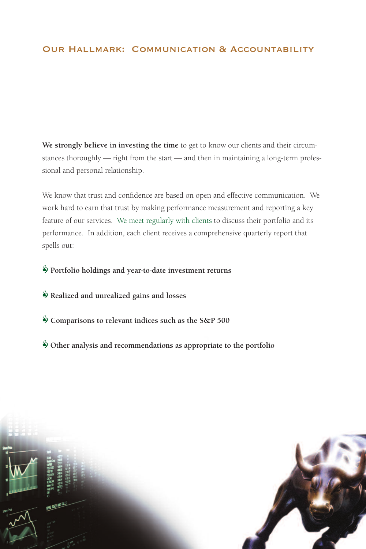**We strongly believe in investing the time** to get to know our clients and their circumstances thoroughly — right from the start — and then in maintaining a long-term professional and personal relationship.

We know that trust and confidence are based on open and effective communication. We work hard to earn that trust by making performance measurement and reporting a key feature of our services. We meet regularly with clients to discuss their portfolio and its performance. In addition, each client receives a comprehensive quarterly report that spells out:

**Portfolio holdings and year-to-date investment returns**

- **Realized and unrealized gains and losses**
- **Comparisons to relevant indices such as the S&P 500**
- **Other analysis and recommendations as appropriate to the portfolio**

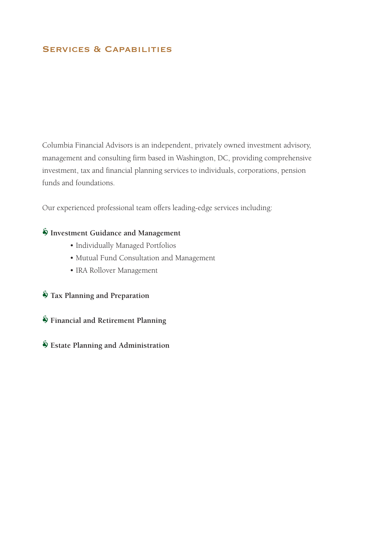## SERVICES & CAPABILITIES

Columbia Financial Advisors is an independent, privately owned investment advisory, management and consulting firm based in Washington, DC, providing comprehensive investment, tax and financial planning services to individuals, corporations, pension funds and foundations.

Our experienced professional team offers leading-edge services including:

## **Investment Guidance and Management**

- Individually Managed Portfolios
- Mutual Fund Consultation and Management
- IRA Rollover Management
- **Tax Planning and Preparation**

**Financial and Retirement Planning**

**Estate Planning and Administration**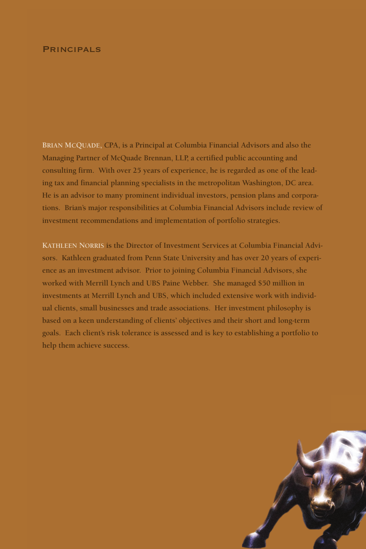#### **PRINCIPALS**

**BRIAN MCQUADE, CPA, is a Principal at Columbia Financial Advisors and also the Managing Partner of McQuade Brennan, LLP, a certified public accounting and consulting firm. With over 25 years of experience, he is regarded as one of the leading tax and financial planning specialists in the metropolitan Washington, DC area. He is an advisor to many prominent individual investors, pension plans and corporations. Brian's major responsibilities at Columbia Financial Advisors include review of investment recommendations and implementation of portfolio strategies.**

**KATHLEEN NORRIS is the Director of Investment Services at Columbia Financial Advisors. Kathleen graduated from Penn State University and has over 20 years of experience as an investment advisor. Prior to joining Columbia Financial Advisors, she worked with Merrill Lynch and UBS Paine Webber. She managed \$50 million in investments at Merrill Lynch and UBS, which included extensive work with individual clients, small businesses and trade associations. Her investment philosophy is based on a keen understanding of clients' objectives and their short and long-term goals. Each client's risk tolerance is assessed and is key to establishing a portfolio to help them achieve success.**